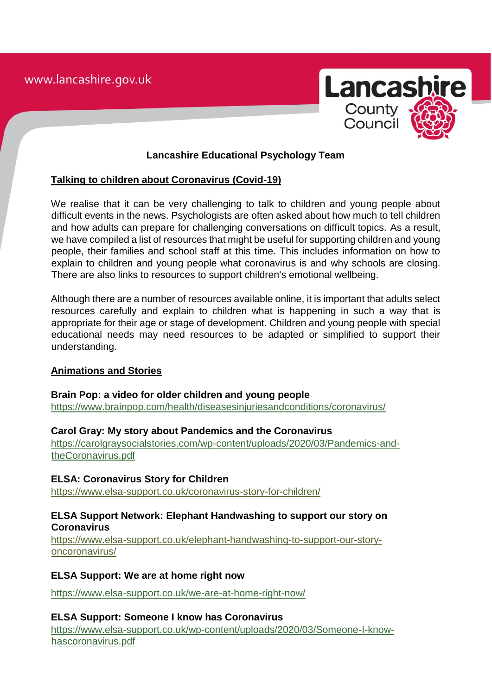www.lancashire.gov.uk



# **Lancashire Educational Psychology Team**

# **Talking to children about Coronavirus (Covid-19)**

We realise that it can be very challenging to talk to children and young people about difficult events in the news. Psychologists are often asked about how much to tell children and how adults can prepare for challenging conversations on difficult topics. As a result, we have compiled a list of resources that might be useful for supporting children and young people, their families and school staff at this time. This includes information on how to explain to children and young people what coronavirus is and why schools are closing. There are also links to resources to support children's emotional wellbeing.

Although there are a number of resources available online, it is important that adults select resources carefully and explain to children what is happening in such a way that is appropriate for their age or stage of development. Children and young people with special educational needs may need resources to be adapted or simplified to support their understanding.

## **Animations and Stories**

**Brain Pop: a video for older children and young people**  <https://www.brainpop.com/health/diseasesinjuriesandconditions/coronavirus/>

## **Carol Gray: My story about Pandemics and the Coronavirus**

[https://carolgraysocialstories.com/wp-content/uploads/2020/03/Pandemics-and](https://carolgraysocialstories.com/wp-content/uploads/2020/03/Pandemics-and-the-Coronavirus.pdf)[theCoronavirus.pdf](https://carolgraysocialstories.com/wp-content/uploads/2020/03/Pandemics-and-the-Coronavirus.pdf)

#### **ELSA: Coronavirus Story for Children**

<https://www.elsa-support.co.uk/coronavirus-story-for-children/>

## **ELSA Support Network: Elephant Handwashing to support our story on Coronavirus**

[https://www.elsa-support.co.uk/elephant-handwashing-to-support-our-story](https://www.elsa-support.co.uk/elephant-handwashing-to-support-our-story-on-coronavirus/)[oncoronavirus/](https://www.elsa-support.co.uk/elephant-handwashing-to-support-our-story-on-coronavirus/)

## **ELSA Support: We are at home right now**

<https://www.elsa-support.co.uk/we-are-at-home-right-now/>

## **ELSA Support: Someone I know has Coronavirus**

[https://www.elsa-support.co.uk/wp-content/uploads/2020/03/Someone-I-know](https://www.elsa-support.co.uk/wp-content/uploads/2020/03/Someone-I-know-has-coronavirus.pdf)[hascoronavirus.pdf](https://www.elsa-support.co.uk/wp-content/uploads/2020/03/Someone-I-know-has-coronavirus.pdf)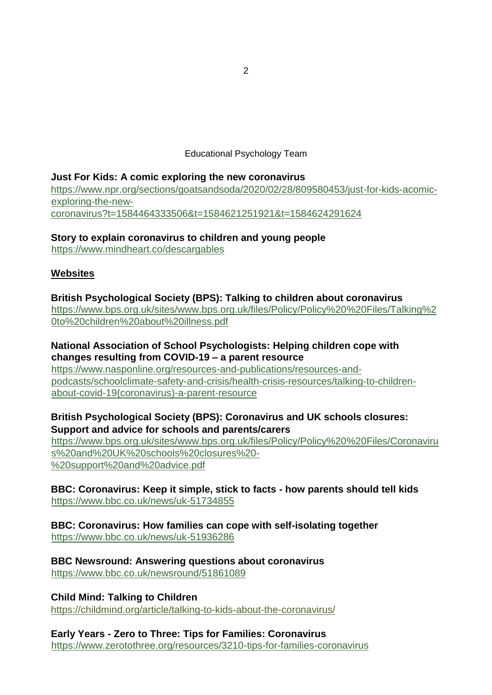Educational Psychology Team

# **Just For Kids: A comic exploring the new coronavirus**

[https://www.npr.org/sections/goatsandsoda/2020/02/28/809580453/just-for-kids-acomic](https://www.npr.org/sections/goatsandsoda/2020/02/28/809580453/just-for-kids-a-comic-exploring-the-new-coronavirus?t=1584464333506&t=1584621251921&t=1584624291624)[exploring-the-new](https://www.npr.org/sections/goatsandsoda/2020/02/28/809580453/just-for-kids-a-comic-exploring-the-new-coronavirus?t=1584464333506&t=1584621251921&t=1584624291624)[coronavirus?t=1584464333506&t=1584621251921&t=1584624291624](https://www.npr.org/sections/goatsandsoda/2020/02/28/809580453/just-for-kids-a-comic-exploring-the-new-coronavirus?t=1584464333506&t=1584621251921&t=1584624291624)

# **Story to explain coronavirus to children and young people**

<https://www.mindheart.co/descargables>

# **Websites**

# **British Psychological Society (BPS): Talking to children about coronavirus**  [https://www.bps.org.uk/sites/www.bps.org.uk/files/Policy/Policy%20%20Files/Talking%2](https://www.bps.org.uk/sites/www.bps.org.uk/files/Policy/Policy%20-%20Files/Talking%20to%20children%20about%20illness.pdf) [0to%20children%20about%20illness.pdf](https://www.bps.org.uk/sites/www.bps.org.uk/files/Policy/Policy%20-%20Files/Talking%20to%20children%20about%20illness.pdf)

**National Association of School Psychologists: Helping children cope with changes resulting from COVID-19 – a parent resource**  [https://www.nasponline.org/resources-and-publications/resources-and](https://www.nasponline.org/resources-and-publications/resources-and-podcasts/school-climate-safety-and-crisis/health-crisis-resources/talking-to-children-about-covid-19-(coronavirus)-a-parent-resource)[podcasts/schoolclimate-safety-and-crisis/health-crisis-resources/talking-to-children](https://www.nasponline.org/resources-and-publications/resources-and-podcasts/school-climate-safety-and-crisis/health-crisis-resources/talking-to-children-about-covid-19-(coronavirus)-a-parent-resource)[about-covid-19\(coronavirus\)-a-parent-resource](https://www.nasponline.org/resources-and-publications/resources-and-podcasts/school-climate-safety-and-crisis/health-crisis-resources/talking-to-children-about-covid-19-(coronavirus)-a-parent-resource)

# **British Psychological Society (BPS): Coronavirus and UK schools closures: Support and advice for schools and parents/carers**

[https://www.bps.org.uk/sites/www.bps.org.uk/files/Policy/Policy%20%20Files/Coronaviru](https://www.bps.org.uk/sites/www.bps.org.uk/files/Policy/Policy%20-%20Files/Coronavirus%20and%20UK%20schools%20closures%20-%20support%20and%20advice.pdf) [s%20and%20UK%20schools%20closures%20-](https://www.bps.org.uk/sites/www.bps.org.uk/files/Policy/Policy%20-%20Files/Coronavirus%20and%20UK%20schools%20closures%20-%20support%20and%20advice.pdf) [%20support%20and%20advice.pdf](https://www.bps.org.uk/sites/www.bps.org.uk/files/Policy/Policy%20-%20Files/Coronavirus%20and%20UK%20schools%20closures%20-%20support%20and%20advice.pdf)

# **BBC: Coronavirus: Keep it simple, stick to facts - how parents should tell kids**  <https://www.bbc.co.uk/news/uk-51734855>

## **BBC: Coronavirus: How families can cope with self-isolating together** <https://www.bbc.co.uk/news/uk-51936286>

## **BBC Newsround: Answering questions about coronavirus**  <https://www.bbc.co.uk/newsround/51861089>

# **Child Mind: Talking to Children**

<https://childmind.org/article/talking-to-kids-about-the-coronavirus/>

# **Early Years - Zero to Three: Tips for Families: Coronavirus**

<https://www.zerotothree.org/resources/3210-tips-for-families-coronavirus>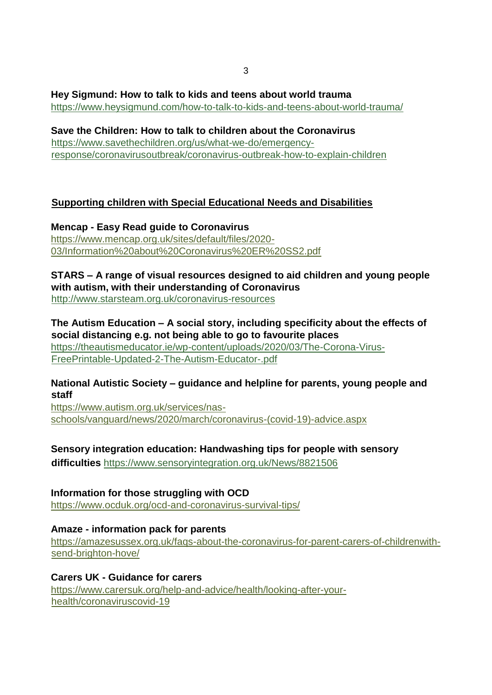## **Hey Sigmund: How to talk to kids and teens about world trauma**

<https://www.heysigmund.com/how-to-talk-to-kids-and-teens-about-world-trauma/>

**Save the Children: How to talk to children about the Coronavirus**  [https://www.savethechildren.org/us/what-we-do/emergency](https://www.savethechildren.org/us/what-we-do/emergency-response/coronavirus-outbreak/coronavirus-outbreak-how-to-explain-children)[response/coronavirusoutbreak/coronavirus-outbreak-how-to-explain-children](https://www.savethechildren.org/us/what-we-do/emergency-response/coronavirus-outbreak/coronavirus-outbreak-how-to-explain-children)

# **Supporting children with Special Educational Needs and Disabilities**

**Mencap - Easy Read guide to Coronavirus** [https://www.mencap.org.uk/sites/default/files/2020-](https://network.us3.list-manage.com/track/click?u=612176ef52c889c40ba7f42f2&id=f23a462f14&e=a8f975d7ba) [03/Information%20about%20Coronavirus%20ER%20SS2.pdf](https://network.us3.list-manage.com/track/click?u=612176ef52c889c40ba7f42f2&id=f23a462f14&e=a8f975d7ba)

**STARS – A range of visual resources designed to aid children and young people with autism, with their understanding of Coronavirus**  <http://www.starsteam.org.uk/coronavirus-resources>

# **The Autism Education – A social story, including specificity about the effects of social distancing e.g. not being able to go to favourite places**

[https://theautismeducator.ie/wp-content/uploads/2020/03/The-Corona-Virus-](https://theautismeducator.ie/wp-content/uploads/2020/03/The-Corona-Virus-Free-Printable-Updated-2-The-Autism-Educator-.pdf)[FreePrintable-Updated-2-The-Autism-Educator-.pdf](https://theautismeducator.ie/wp-content/uploads/2020/03/The-Corona-Virus-Free-Printable-Updated-2-The-Autism-Educator-.pdf)

# **National Autistic Society – guidance and helpline for parents, young people and staff**

[https://www.autism.org.uk/services/nas](https://network.us3.list-manage.com/track/click?u=612176ef52c889c40ba7f42f2&id=d43383695f&e=a8f975d7ba)[schools/vanguard/news/2020/march/coronavirus-\(covid-19\)-advice.aspx](https://network.us3.list-manage.com/track/click?u=612176ef52c889c40ba7f42f2&id=d43383695f&e=a8f975d7ba)

**Sensory integration education: Handwashing tips for people with sensory difficulties** <https://www.sensoryintegration.org.uk/News/8821506>

# **Information for those struggling with OCD**

[https://www.ocduk.org/ocd-and-coronavirus-survival-tips/](https://network.us3.list-manage.com/track/click?u=612176ef52c889c40ba7f42f2&id=3897a824f9&e=a8f975d7ba)

# **Amaze - information pack for parents**

[https://amazesussex.org.uk/faqs-about-the-coronavirus-for-parent-carers-of-childrenwith](https://network.us3.list-manage.com/track/click?u=612176ef52c889c40ba7f42f2&id=86d5907da5&e=a8f975d7ba)[send-brighton-hove/](https://network.us3.list-manage.com/track/click?u=612176ef52c889c40ba7f42f2&id=86d5907da5&e=a8f975d7ba)

**Carers UK - Guidance for carers** [https://www.carersuk.org/help-and-advice/health/looking-after-your](https://network.us3.list-manage.com/track/click?u=612176ef52c889c40ba7f42f2&id=6f2a24d21c&e=a8f975d7ba)[health/coronaviruscovid-19](https://network.us3.list-manage.com/track/click?u=612176ef52c889c40ba7f42f2&id=6f2a24d21c&e=a8f975d7ba)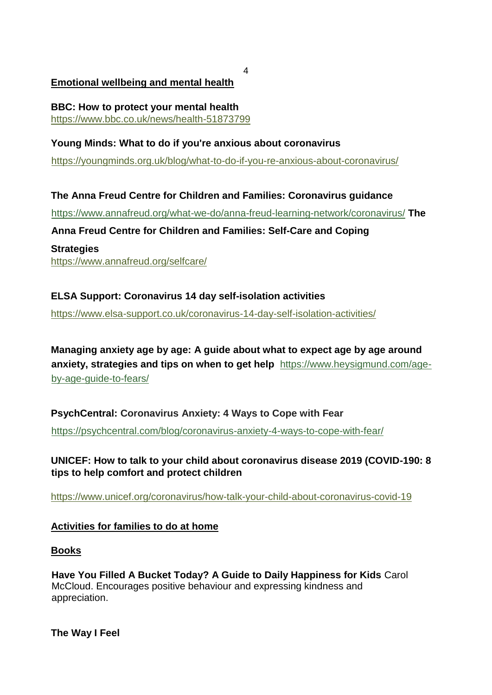# **Emotional wellbeing and mental health**

## **BBC: How to protect your mental health**  <https://www.bbc.co.uk/news/health-51873799>

# **Young Minds: What to do if you're anxious about coronavirus**

<https://youngminds.org.uk/blog/what-to-do-if-you-re-anxious-about-coronavirus/>

**The Anna Freud Centre for Children and Families: Coronavirus guidance**  <https://www.annafreud.org/what-we-do/anna-freud-learning-network/coronavirus/> **The Anna Freud Centre for Children and Families: Self-Care and Coping Strategies** <https://www.annafreud.org/selfcare/>

# **ELSA Support: Coronavirus 14 day self-isolation activities**

<https://www.elsa-support.co.uk/coronavirus-14-day-self-isolation-activities/>

**Managing anxiety age by age: A guide about what to expect age by age around anxiety, strategies and tips on when to get help**[https://www.heysigmund.com/age](https://www.heysigmund.com/age-by-age-guide-to-fears/)[by-age-guide-to-fears/](https://www.heysigmund.com/age-by-age-guide-to-fears/)

**PsychCentral: Coronavirus Anxiety: 4 Ways to Cope with Fear**  <https://psychcentral.com/blog/coronavirus-anxiety-4-ways-to-cope-with-fear/>

**UNICEF: How to talk to your child about coronavirus disease 2019 (COVID-190: 8 tips to help comfort and protect children** 

https://www.unicef.org/coronavirus/how-talk-your-child-about-coronavirus-covid-19

## **Activities for families to do at home**

## **Books**

**Have You Filled A Bucket Today? A Guide to Daily Happiness for Kids** Carol McCloud. Encourages positive behaviour and expressing kindness and appreciation.

**The Way I Feel**

4